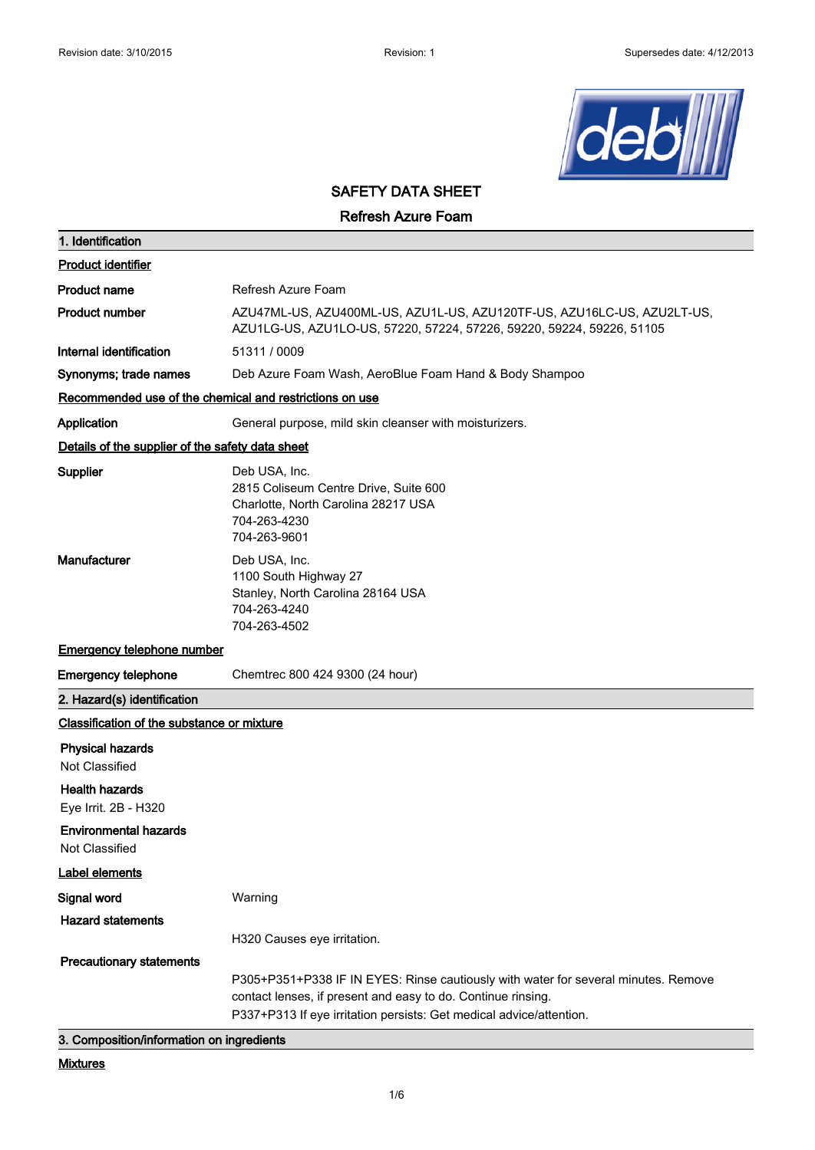

# **SAFETY DATA SHEET**

**Refresh Azure Foam**

| 1. Identification                                                      |                                                                                                                                                 |
|------------------------------------------------------------------------|-------------------------------------------------------------------------------------------------------------------------------------------------|
| <b>Product identifier</b>                                              |                                                                                                                                                 |
| <b>Product name</b>                                                    | Refresh Azure Foam                                                                                                                              |
| <b>Product number</b>                                                  | AZU47ML-US, AZU400ML-US, AZU1L-US, AZU120TF-US, AZU16LC-US, AZU2LT-US,<br>AZU1LG-US, AZU1LO-US, 57220, 57224, 57226, 59220, 59224, 59226, 51105 |
| Internal identification                                                | 51311 / 0009                                                                                                                                    |
| Synonyms; trade names                                                  | Deb Azure Foam Wash, AeroBlue Foam Hand & Body Shampoo                                                                                          |
| Recommended use of the chemical and restrictions on use                |                                                                                                                                                 |
| Application                                                            | General purpose, mild skin cleanser with moisturizers.                                                                                          |
| Details of the supplier of the safety data sheet                       |                                                                                                                                                 |
| <b>Supplier</b>                                                        | Deb USA, Inc.<br>2815 Coliseum Centre Drive, Suite 600<br>Charlotte, North Carolina 28217 USA<br>704-263-4230<br>704-263-9601                   |
| Manufacturer                                                           | Deb USA, Inc.<br>1100 South Highway 27<br>Stanley, North Carolina 28164 USA<br>704-263-4240<br>704-263-4502                                     |
| <b>Emergency telephone number</b>                                      |                                                                                                                                                 |
| <b>Emergency telephone</b>                                             | Chemtrec 800 424 9300 (24 hour)                                                                                                                 |
| 2. Hazard(s) identification                                            |                                                                                                                                                 |
| Classification of the substance or mixture                             |                                                                                                                                                 |
| <b>Physical hazards</b><br>Not Classified<br><b>Health hazards</b>     |                                                                                                                                                 |
| Eye Irrit. 2B - H320<br><b>Environmental hazards</b><br>Not Classified |                                                                                                                                                 |
| <b>Label elements</b>                                                  |                                                                                                                                                 |
| Signal word                                                            | Warning                                                                                                                                         |
| <b>Hazard statements</b>                                               | H320 Causes eye irritation.                                                                                                                     |
| <b>Precautionary statements</b>                                        | P305+P351+P338 IF IN EYES: Rinse cautiously with water for several minutes. Remove                                                              |
| 3. Composition/information on ingredients                              | contact lenses, if present and easy to do. Continue rinsing.<br>P337+P313 If eye irritation persists: Get medical advice/attention.             |

**Mixtures**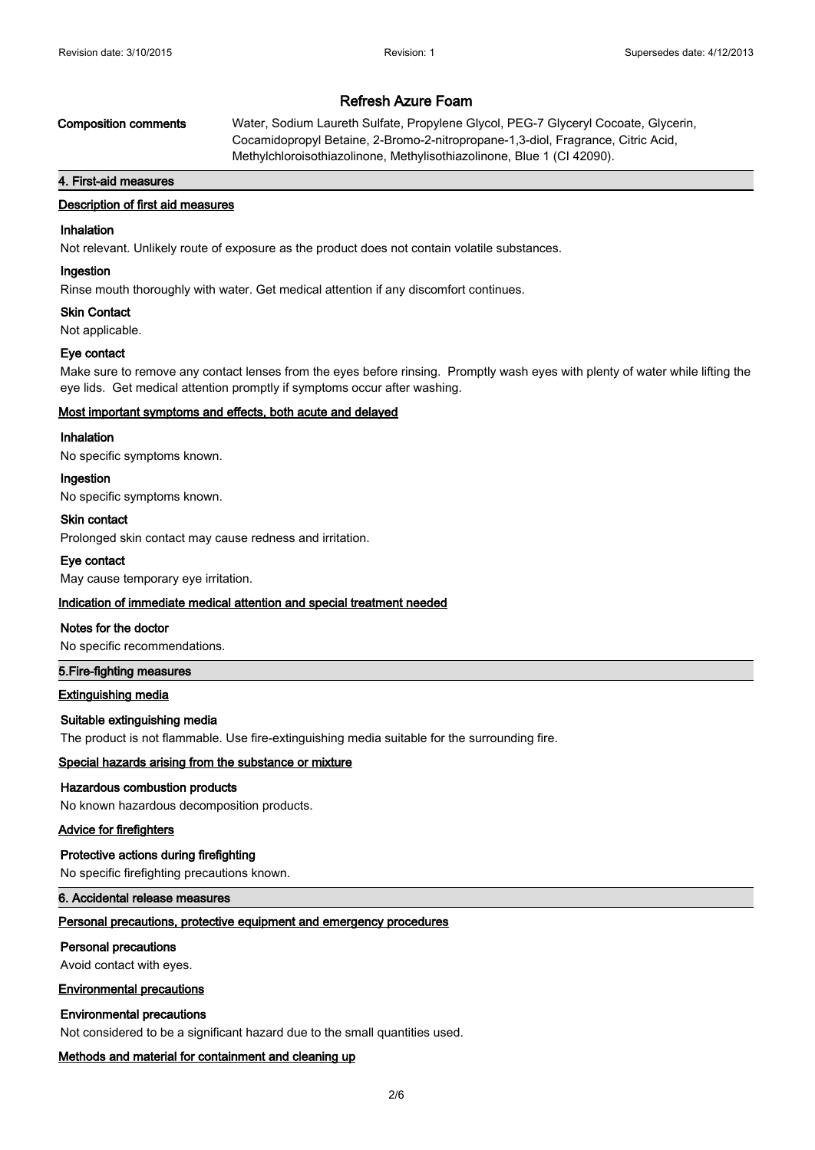**Composition comments** Water, Sodium Laureth Sulfate, Propylene Glycol, PEG-7 Glyceryl Cocoate, Glycerin, Cocamidopropyl Betaine, 2-Bromo-2-nitropropane-1,3-diol, Fragrance, Citric Acid, Methylchloroisothiazolinone, Methylisothiazolinone, Blue 1 (CI 42090).

#### **4. First-aid measures**

# **Description of first aid measures**

# **Inhalation**

Not relevant. Unlikely route of exposure as the product does not contain volatile substances.

#### **Ingestion**

Rinse mouth thoroughly with water. Get medical attention if any discomfort continues.

#### **Skin Contact**

Not applicable.

### **Eye contact**

Make sure to remove any contact lenses from the eyes before rinsing. Promptly wash eyes with plenty of water while lifting the eye lids. Get medical attention promptly if symptoms occur after washing.

### **Most important symptoms and effects, both acute and delayed**

### **Inhalation**

No specific symptoms known.

#### **Ingestion**

No specific symptoms known.

### **Skin contact**

Prolonged skin contact may cause redness and irritation.

#### **Eye contact**

May cause temporary eye irritation.

#### **Indication of immediate medical attention and special treatment needed**

#### **Notes for the doctor**

No specific recommendations.

#### **5.Fire-fighting measures**

#### **Extinguishing media**

### **Suitable extinguishing media**

The product is not flammable. Use fire-extinguishing media suitable for the surrounding fire.

#### **Special hazards arising from the substance or mixture**

#### **Hazardous combustion products**

No known hazardous decomposition products.

### **Advice for firefighters**

#### **Protective actions during firefighting**

No specific firefighting precautions known.

# **6. Accidental release measures**

# **Personal precautions, protective equipment and emergency procedures**

#### **Personal precautions**

Avoid contact with eyes.

#### **Environmental precautions**

#### **Environmental precautions**

Not considered to be a significant hazard due to the small quantities used.

#### **Methods and material for containment and cleaning up**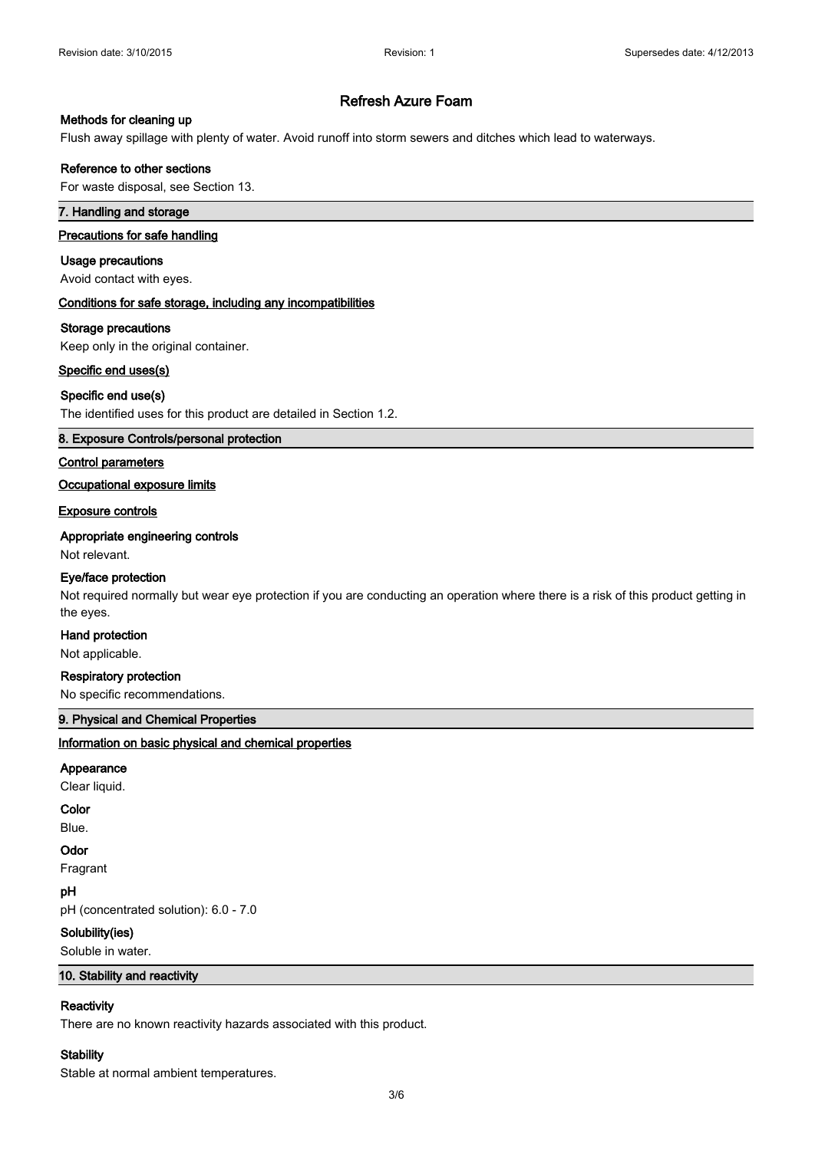# **Methods for cleaning up**

Flush away spillage with plenty of water. Avoid runoff into storm sewers and ditches which lead to waterways.

### **Reference to other sections**

For waste disposal, see Section 13.

# **7. Handling and storage**

# **Precautions for safe handling**

#### **Usage precautions**

Avoid contact with eyes.

#### **Conditions for safe storage, including any incompatibilities**

#### **Storage precautions**

Keep only in the original container.

#### **Specific end uses(s)**

### **Specific end use(s)**

The identified uses for this product are detailed in Section 1.2.

# **8. Exposure Controls/personal protection**

# **Control parameters**

# **Occupational exposure limits**

#### **Exposure controls**

### **Appropriate engineering controls**

Not relevant.

#### **Eye/face protection**

Not required normally but wear eye protection if you are conducting an operation where there is a risk of this product getting in the eyes.

#### **Hand protection**

Not applicable.

### **Respiratory protection**

No specific recommendations.

# **9. Physical and Chemical Properties**

### **Information on basic physical and chemical properties**

# **Appearance**

Clear liquid.

#### **Color**

Blue.

#### **Odor**

Fragrant

# **pH**

pH (concentrated solution): 6.0 - 7.0

#### **Solubility(ies)**

Soluble in water.

### **10. Stability and reactivity**

# **Reactivity**

There are no known reactivity hazards associated with this product.

# **Stability**

Stable at normal ambient temperatures.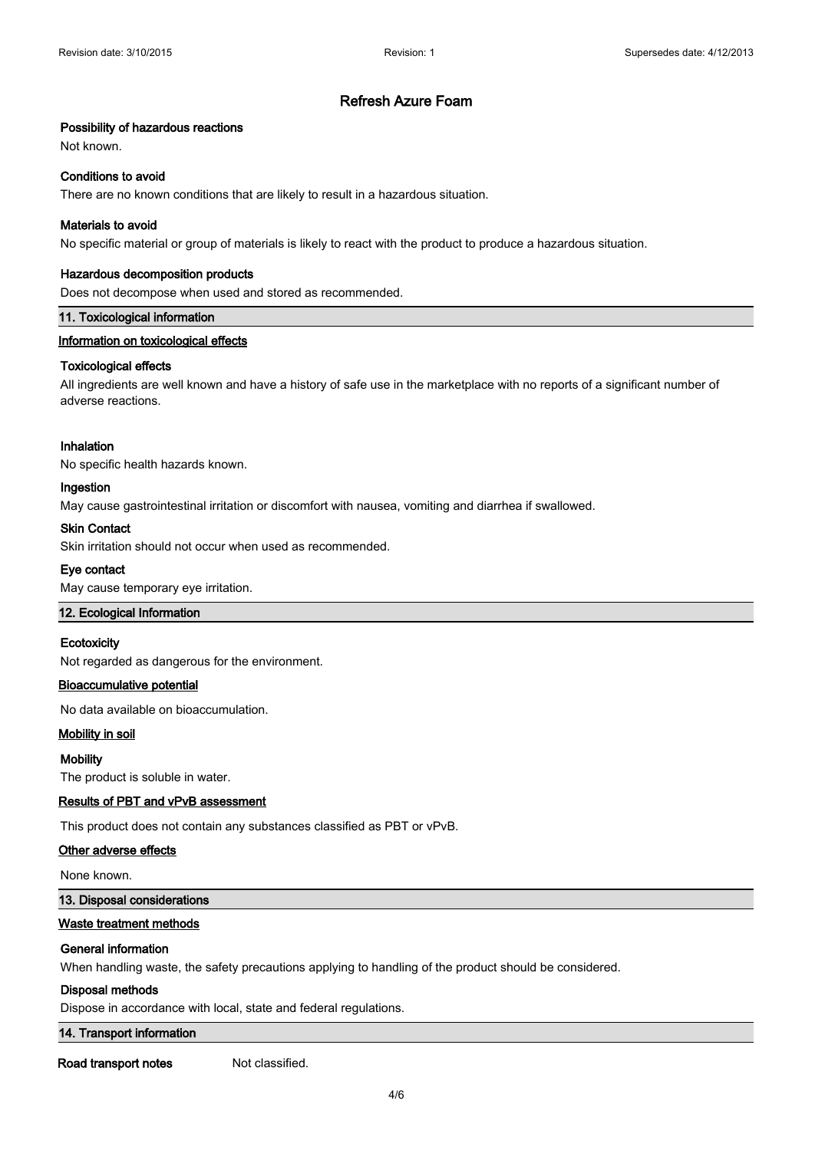# **Possibility of hazardous reactions**

Not known.

### **Conditions to avoid**

There are no known conditions that are likely to result in a hazardous situation.

# **Materials to avoid**

No specific material or group of materials is likely to react with the product to produce a hazardous situation.

# **Hazardous decomposition products**

Does not decompose when used and stored as recommended.

### **11. Toxicological information**

# **Information on toxicological effects**

### **Toxicological effects**

All ingredients are well known and have a history of safe use in the marketplace with no reports of a significant number of adverse reactions.

### **Inhalation**

No specific health hazards known.

### **Ingestion**

May cause gastrointestinal irritation or discomfort with nausea, vomiting and diarrhea if swallowed.

# **Skin Contact**

Skin irritation should not occur when used as recommended.

### **Eye contact**

May cause temporary eye irritation.

# **12. Ecological Information**

### **Ecotoxicity**

Not regarded as dangerous for the environment.

# **Bioaccumulative potential**

No data available on bioaccumulation.

# **Mobility in soil**

#### **Mobility**

The product is soluble in water.

# **Results of PBT and vPvB assessment**

This product does not contain any substances classified as PBT or vPvB.

### **Other adverse effects**

None known.

#### **13. Disposal considerations**

## **Waste treatment methods**

#### **General information**

When handling waste, the safety precautions applying to handling of the product should be considered.

#### **Disposal methods**

Dispose in accordance with local, state and federal regulations.

# **14. Transport information**

**Road transport notes** Not classified.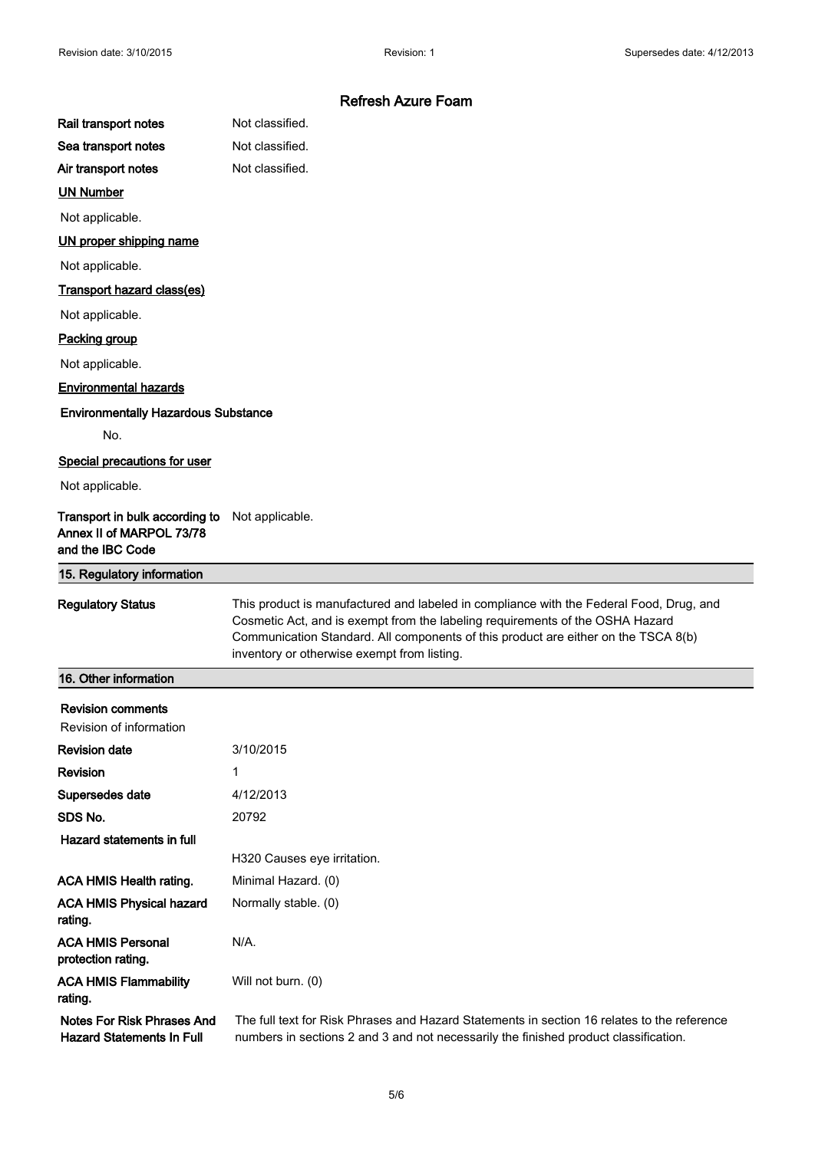|                                                                                | <b>Refresh Azure Foam</b>                                                                                                                                                                                                                                                                                     |
|--------------------------------------------------------------------------------|---------------------------------------------------------------------------------------------------------------------------------------------------------------------------------------------------------------------------------------------------------------------------------------------------------------|
| Rail transport notes                                                           | Not classified.                                                                                                                                                                                                                                                                                               |
| Sea transport notes                                                            | Not classified.                                                                                                                                                                                                                                                                                               |
| Air transport notes                                                            | Not classified.                                                                                                                                                                                                                                                                                               |
| <b>UN Number</b>                                                               |                                                                                                                                                                                                                                                                                                               |
| Not applicable.                                                                |                                                                                                                                                                                                                                                                                                               |
| UN proper shipping name                                                        |                                                                                                                                                                                                                                                                                                               |
| Not applicable.                                                                |                                                                                                                                                                                                                                                                                                               |
| <b>Transport hazard class(es)</b>                                              |                                                                                                                                                                                                                                                                                                               |
| Not applicable.                                                                |                                                                                                                                                                                                                                                                                                               |
| <b>Packing group</b>                                                           |                                                                                                                                                                                                                                                                                                               |
| Not applicable.                                                                |                                                                                                                                                                                                                                                                                                               |
| <b>Environmental hazards</b>                                                   |                                                                                                                                                                                                                                                                                                               |
| <b>Environmentally Hazardous Substance</b>                                     |                                                                                                                                                                                                                                                                                                               |
| No.                                                                            |                                                                                                                                                                                                                                                                                                               |
| Special precautions for user                                                   |                                                                                                                                                                                                                                                                                                               |
| Not applicable.                                                                |                                                                                                                                                                                                                                                                                                               |
| Transport in bulk according to<br>Annex II of MARPOL 73/78<br>and the IBC Code | Not applicable.                                                                                                                                                                                                                                                                                               |
|                                                                                |                                                                                                                                                                                                                                                                                                               |
| 15. Regulatory information                                                     |                                                                                                                                                                                                                                                                                                               |
| <b>Regulatory Status</b>                                                       | This product is manufactured and labeled in compliance with the Federal Food, Drug, and<br>Cosmetic Act, and is exempt from the labeling requirements of the OSHA Hazard<br>Communication Standard. All components of this product are either on the TSCA 8(b)<br>inventory or otherwise exempt from listing. |
| 16. Other information                                                          |                                                                                                                                                                                                                                                                                                               |
| <b>Revision comments</b>                                                       |                                                                                                                                                                                                                                                                                                               |
| Revision of information                                                        |                                                                                                                                                                                                                                                                                                               |
| <b>Revision date</b>                                                           | 3/10/2015                                                                                                                                                                                                                                                                                                     |
| <b>Revision</b>                                                                | 1                                                                                                                                                                                                                                                                                                             |
| Supersedes date                                                                | 4/12/2013                                                                                                                                                                                                                                                                                                     |
| SDS No.                                                                        | 20792                                                                                                                                                                                                                                                                                                         |
| Hazard statements in full                                                      |                                                                                                                                                                                                                                                                                                               |
|                                                                                | H320 Causes eye irritation.                                                                                                                                                                                                                                                                                   |
| <b>ACA HMIS Health rating.</b>                                                 | Minimal Hazard. (0)                                                                                                                                                                                                                                                                                           |
| <b>ACA HMIS Physical hazard</b><br>rating.                                     | Normally stable. (0)                                                                                                                                                                                                                                                                                          |
| <b>ACA HMIS Personal</b><br>protection rating.                                 | N/A.                                                                                                                                                                                                                                                                                                          |
| <b>ACA HMIS Flammability</b><br>rating.                                        | Will not burn. (0)                                                                                                                                                                                                                                                                                            |